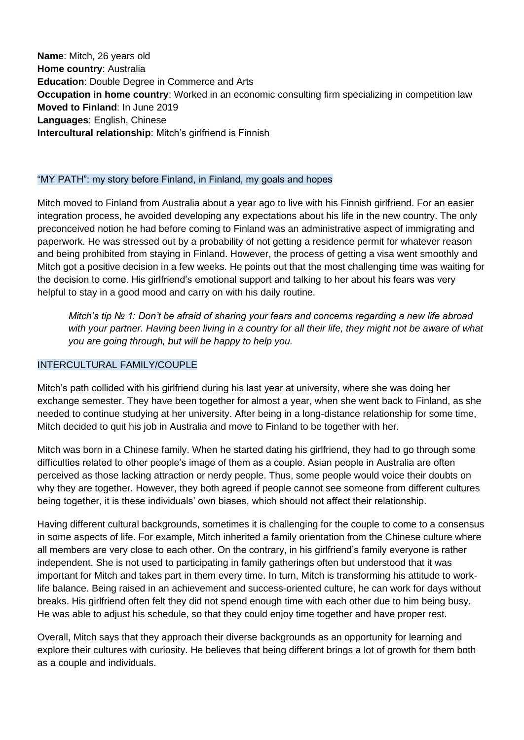**Name**: Mitch, 26 years old **Home country**: Australia **Education**: Double Degree in Commerce and Arts **Occupation in home country:** Worked in an economic consulting firm specializing in competition law **Moved to Finland**: In June 2019 **Languages**: English, Chinese **Intercultural relationship**: Mitch's girlfriend is Finnish

## "MY PATH": my story before Finland, in Finland, my goals and hopes

Mitch moved to Finland from Australia about a year ago to live with his Finnish girlfriend. For an easier integration process, he avoided developing any expectations about his life in the new country. The only preconceived notion he had before coming to Finland was an administrative aspect of immigrating and paperwork. He was stressed out by a probability of not getting a residence permit for whatever reason and being prohibited from staying in Finland. However, the process of getting a visa went smoothly and Mitch got a positive decision in a few weeks. He points out that the most challenging time was waiting for the decision to come. His girlfriend's emotional support and talking to her about his fears was very helpful to stay in a good mood and carry on with his daily routine.

*Mitch's tip № 1: Don't be afraid of sharing your fears and concerns regarding a new life abroad*  with your partner. Having been living in a country for all their life, they might not be aware of what *you are going through, but will be happy to help you.* 

## INTERCULTURAL FAMILY/COUPLE

Mitch's path collided with his girlfriend during his last year at university, where she was doing her exchange semester. They have been together for almost a year, when she went back to Finland, as she needed to continue studying at her university. After being in a long-distance relationship for some time, Mitch decided to quit his job in Australia and move to Finland to be together with her.

Mitch was born in a Chinese family. When he started dating his girlfriend, they had to go through some difficulties related to other people's image of them as a couple. Asian people in Australia are often perceived as those lacking attraction or nerdy people. Thus, some people would voice their doubts on why they are together. However, they both agreed if people cannot see someone from different cultures being together, it is these individuals' own biases, which should not affect their relationship.

Having different cultural backgrounds, sometimes it is challenging for the couple to come to a consensus in some aspects of life. For example, Mitch inherited a family orientation from the Chinese culture where all members are very close to each other. On the contrary, in his girlfriend's family everyone is rather independent. She is not used to participating in family gatherings often but understood that it was important for Mitch and takes part in them every time. In turn, Mitch is transforming his attitude to worklife balance. Being raised in an achievement and success-oriented culture, he can work for days without breaks. His girlfriend often felt they did not spend enough time with each other due to him being busy. He was able to adjust his schedule, so that they could enjoy time together and have proper rest.

Overall, Mitch says that they approach their diverse backgrounds as an opportunity for learning and explore their cultures with curiosity. He believes that being different brings a lot of growth for them both as a couple and individuals.